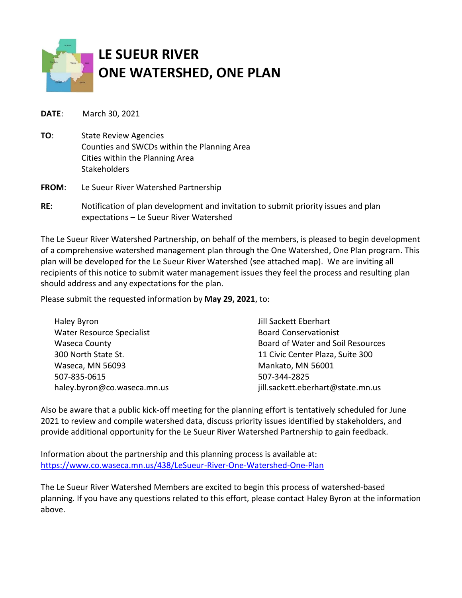

**DATE**: March 30, 2021

- **TO**: State Review Agencies Counties and SWCDs within the Planning Area Cities within the Planning Area **Stakeholders**
- **FROM**: Le Sueur River Watershed Partnership
- **RE:** Notification of plan development and invitation to submit priority issues and plan expectations – Le Sueur River Watershed

The Le Sueur River Watershed Partnership, on behalf of the members, is pleased to begin development of a comprehensive watershed management plan through the One Watershed, One Plan program. This plan will be developed for the Le Sueur River Watershed (see attached map). We are inviting all recipients of this notice to submit water management issues they feel the process and resulting plan should address and any expectations for the plan.

Please submit the requested information by **May 29, 2021**, to:

| Haley Byron                      | Jill Sackett Eberhart             |
|----------------------------------|-----------------------------------|
| <b>Water Resource Specialist</b> | <b>Board Conservationist</b>      |
| <b>Waseca County</b>             | Board of Water and Soil Resources |
| 300 North State St.              | 11 Civic Center Plaza, Suite 300  |
| Waseca, MN 56093                 | Mankato, MN 56001                 |
| 507-835-0615                     | 507-344-2825                      |
| haley.byron@co.waseca.mn.us      | jill.sackett.eberhart@state.mn.us |

Also be aware that a public kick-off meeting for the planning effort is tentatively scheduled for June 2021 to review and compile watershed data, discuss priority issues identified by stakeholders, and provide additional opportunity for the Le Sueur River Watershed Partnership to gain feedback.

Information about the partnership and this planning process is available at: <https://www.co.waseca.mn.us/438/LeSueur-River-One-Watershed-One-Plan>

The Le Sueur River Watershed Members are excited to begin this process of watershed-based planning. If you have any questions related to this effort, please contact Haley Byron at the information above.